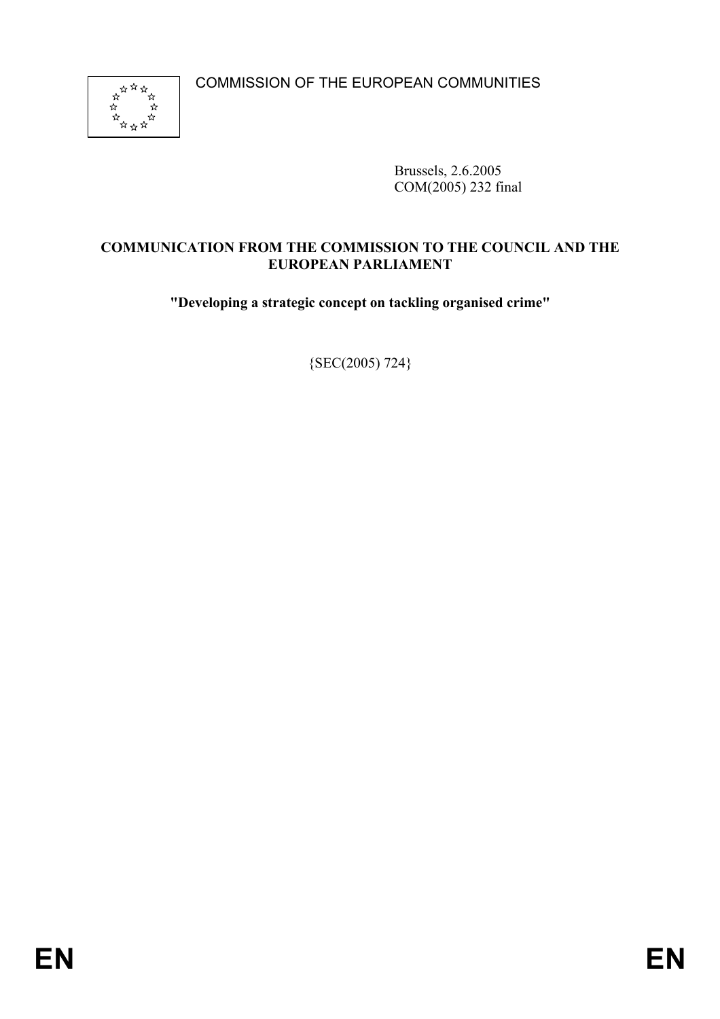COMMISSION OF THE EUROPEAN COMMUNITIES



Brussels, 2.6.2005 COM(2005) 232 final

# **COMMUNICATION FROM THE COMMISSION TO THE COUNCIL AND THE EUROPEAN PARLIAMENT**

**"Developing a strategic concept on tackling organised crime"** 

{SEC(2005) 724}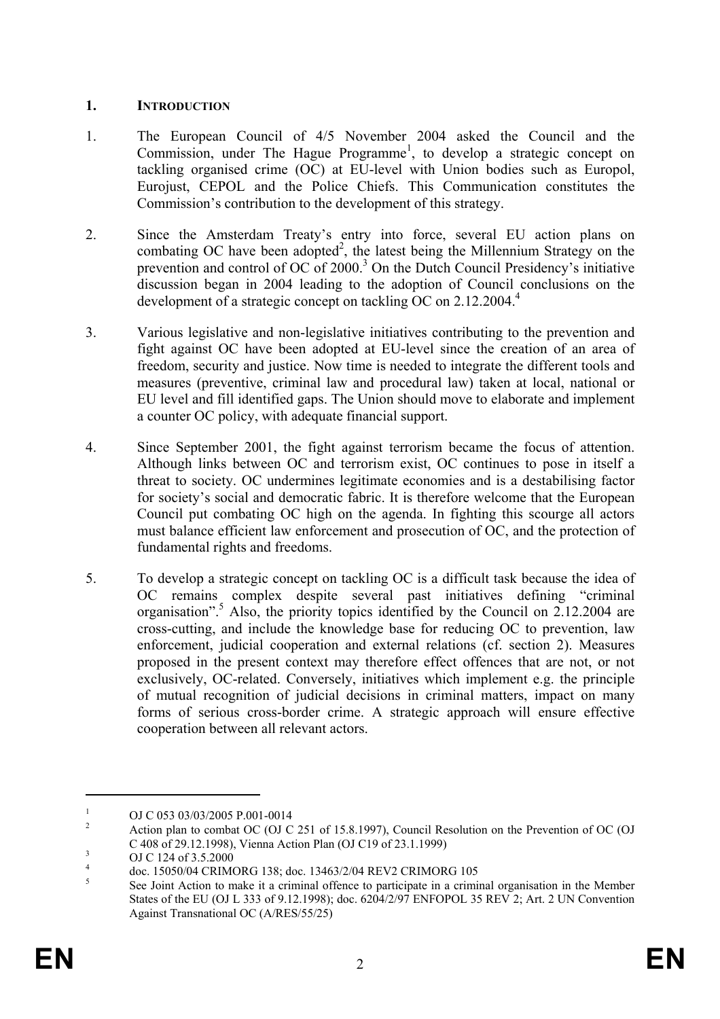# **1. INTRODUCTION**

- 1. The European Council of 4/5 November 2004 asked the Council and the Commission, under The Hague Programme<sup>1</sup>, to develop a strategic concept on tackling organised crime (OC) at EU-level with Union bodies such as Europol, Eurojust, CEPOL and the Police Chiefs. This Communication constitutes the Commission's contribution to the development of this strategy.
- 2. Since the Amsterdam Treaty's entry into force, several EU action plans on combating OC have been adopted<sup>2</sup>, the latest being the Millennium Strategy on the prevention and control of OC of 2000.<sup>3</sup> On the Dutch Council Presidency's initiative discussion began in 2004 leading to the adoption of Council conclusions on the development of a strategic concept on tackling OC on  $2.12.2004<sup>4</sup>$
- 3. Various legislative and non-legislative initiatives contributing to the prevention and fight against OC have been adopted at EU-level since the creation of an area of freedom, security and justice. Now time is needed to integrate the different tools and measures (preventive, criminal law and procedural law) taken at local, national or EU level and fill identified gaps. The Union should move to elaborate and implement a counter OC policy, with adequate financial support.
- 4. Since September 2001, the fight against terrorism became the focus of attention. Although links between OC and terrorism exist, OC continues to pose in itself a threat to society. OC undermines legitimate economies and is a destabilising factor for society's social and democratic fabric. It is therefore welcome that the European Council put combating OC high on the agenda. In fighting this scourge all actors must balance efficient law enforcement and prosecution of OC, and the protection of fundamental rights and freedoms.
- 5. To develop a strategic concept on tackling OC is a difficult task because the idea of OC remains complex despite several past initiatives defining "criminal organisation".<sup>5</sup> Also, the priority topics identified by the Council on 2.12.2004 are cross-cutting, and include the knowledge base for reducing OC to prevention, law enforcement, judicial cooperation and external relations (cf. section 2). Measures proposed in the present context may therefore effect offences that are not, or not exclusively, OC-related. Conversely, initiatives which implement e.g. the principle of mutual recognition of judicial decisions in criminal matters, impact on many forms of serious cross-border crime. A strategic approach will ensure effective cooperation between all relevant actors.

<sup>1</sup> OJ C 053 03/03/2005 P.001-0014

<sup>2</sup> Action plan to combat OC (OJ C 251 of 15.8.1997), Council Resolution on the Prevention of OC (OJ C 408 of 29.12.1998), Vienna Action Plan (OJ C19 of 23.1.1999)

OJ C 124 of 3.5.2000

<sup>4</sup> doc. 15050/04 CRIMORG 138; doc. 13463/2/04 REV2 CRIMORG 105

<sup>5</sup> See Joint Action to make it a criminal offence to participate in a criminal organisation in the Member States of the EU (OJ L 333 of 9.12.1998); doc. 6204/2/97 ENFOPOL 35 REV 2; Art. 2 UN Convention Against Transnational OC (A/RES/55/25)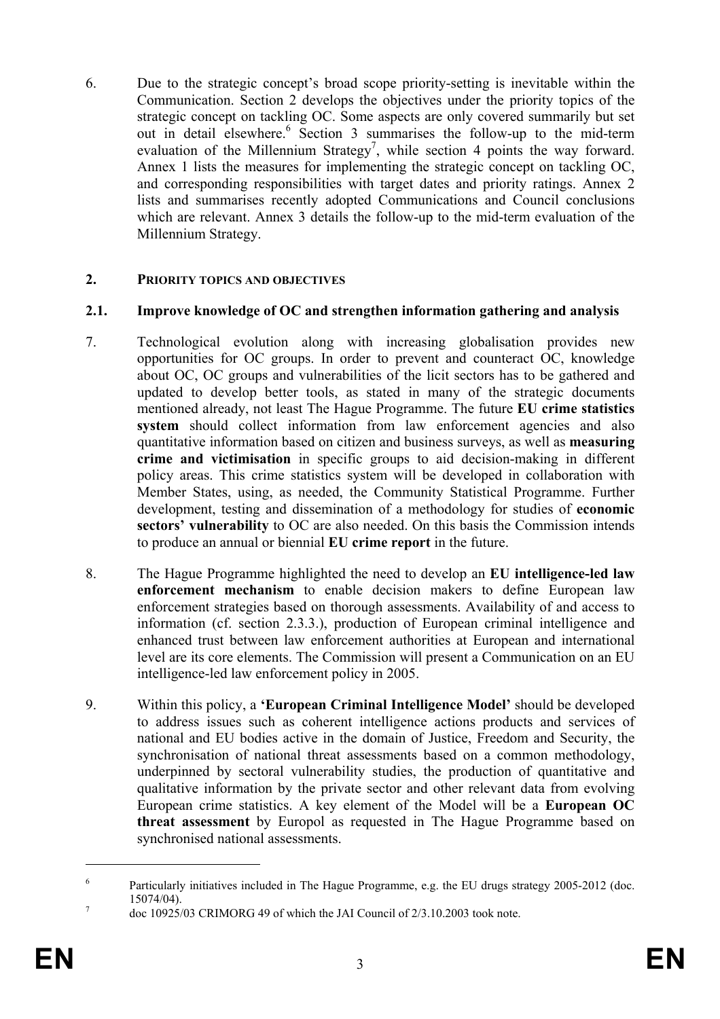6. Due to the strategic concept's broad scope priority-setting is inevitable within the Communication. Section 2 develops the objectives under the priority topics of the strategic concept on tackling OC. Some aspects are only covered summarily but set out in detail elsewhere.<sup>6</sup> Section 3 summarises the follow-up to the mid-term evaluation of the Millennium Strategy<sup>7</sup>, while section 4 points the way forward. Annex 1 lists the measures for implementing the strategic concept on tackling OC, and corresponding responsibilities with target dates and priority ratings. Annex 2 lists and summarises recently adopted Communications and Council conclusions which are relevant. Annex 3 details the follow-up to the mid-term evaluation of the Millennium Strategy.

# **2. PRIORITY TOPICS AND OBJECTIVES**

#### **2.1. Improve knowledge of OC and strengthen information gathering and analysis**

- 7. Technological evolution along with increasing globalisation provides new opportunities for OC groups. In order to prevent and counteract OC, knowledge about OC, OC groups and vulnerabilities of the licit sectors has to be gathered and updated to develop better tools, as stated in many of the strategic documents mentioned already, not least The Hague Programme. The future **EU crime statistics system** should collect information from law enforcement agencies and also quantitative information based on citizen and business surveys, as well as **measuring crime and victimisation** in specific groups to aid decision-making in different policy areas. This crime statistics system will be developed in collaboration with Member States, using, as needed, the Community Statistical Programme. Further development, testing and dissemination of a methodology for studies of **economic sectors' vulnerability** to OC are also needed. On this basis the Commission intends to produce an annual or biennial **EU crime report** in the future.
- 8. The Hague Programme highlighted the need to develop an **EU intelligence-led law enforcement mechanism** to enable decision makers to define European law enforcement strategies based on thorough assessments. Availability of and access to information (cf. section 2.3.3.), production of European criminal intelligence and enhanced trust between law enforcement authorities at European and international level are its core elements. The Commission will present a Communication on an EU intelligence-led law enforcement policy in 2005.
- 9. Within this policy, a **'European Criminal Intelligence Model'** should be developed to address issues such as coherent intelligence actions products and services of national and EU bodies active in the domain of Justice, Freedom and Security, the synchronisation of national threat assessments based on a common methodology, underpinned by sectoral vulnerability studies, the production of quantitative and qualitative information by the private sector and other relevant data from evolving European crime statistics. A key element of the Model will be a **European OC threat assessment** by Europol as requested in The Hague Programme based on synchronised national assessments.

<sup>6</sup> Particularly initiatives included in The Hague Programme, e.g. the EU drugs strategy 2005-2012 (doc.  $15074/04$ ).

doc 10925/03 CRIMORG 49 of which the JAI Council of 2/3.10.2003 took note.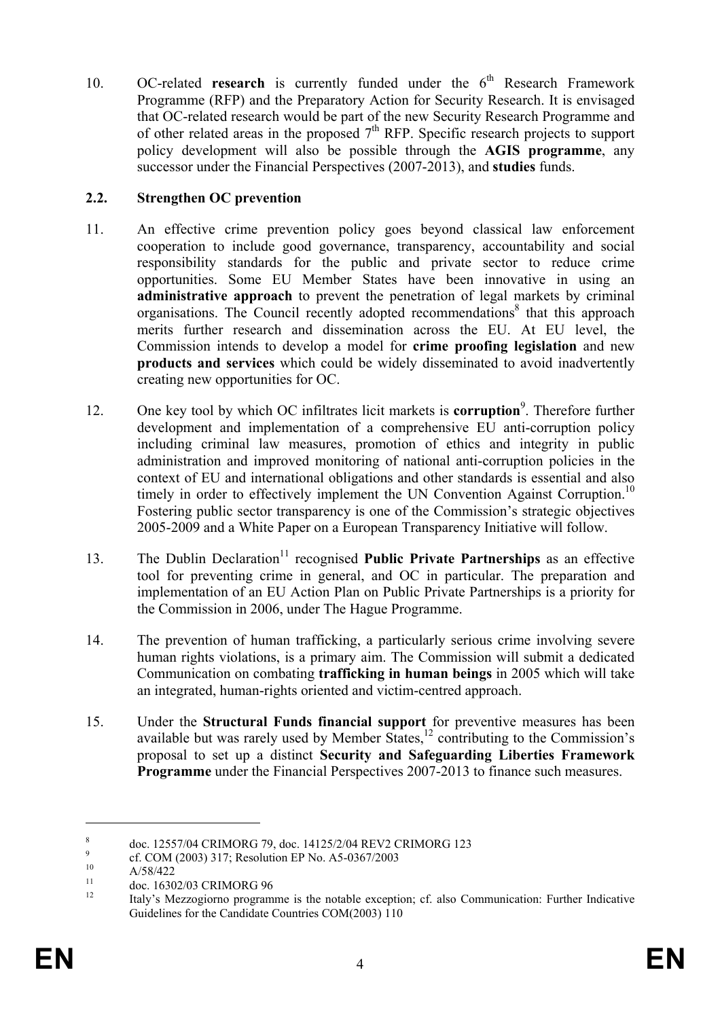10. OC-related **research** is currently funded under the 6<sup>th</sup> Research Framework Programme (RFP) and the Preparatory Action for Security Research. It is envisaged that OC-related research would be part of the new Security Research Programme and of other related areas in the proposed  $7<sup>th</sup>$  RFP. Specific research projects to support policy development will also be possible through the **AGIS programme**, any successor under the Financial Perspectives (2007-2013), and **studies** funds.

# **2.2. Strengthen OC prevention**

- 11. An effective crime prevention policy goes beyond classical law enforcement cooperation to include good governance, transparency, accountability and social responsibility standards for the public and private sector to reduce crime opportunities. Some EU Member States have been innovative in using an **administrative approach** to prevent the penetration of legal markets by criminal organisations. The Council recently adopted recommendations<sup>8</sup> that this approach merits further research and dissemination across the EU. At EU level, the Commission intends to develop a model for **crime proofing legislation** and new **products and services** which could be widely disseminated to avoid inadvertently creating new opportunities for OC.
- 12. One key tool by which OC infiltrates licit markets is **corruption**<sup>9</sup>. Therefore further development and implementation of a comprehensive EU anti-corruption policy including criminal law measures, promotion of ethics and integrity in public administration and improved monitoring of national anti-corruption policies in the context of EU and international obligations and other standards is essential and also timely in order to effectively implement the UN Convention Against Corruption.<sup>10</sup> Fostering public sector transparency is one of the Commission's strategic objectives 2005-2009 and a White Paper on a European Transparency Initiative will follow.
- 13. The Dublin Declaration<sup>11</sup> recognised **Public Private Partnerships** as an effective tool for preventing crime in general, and OC in particular. The preparation and implementation of an EU Action Plan on Public Private Partnerships is a priority for the Commission in 2006, under The Hague Programme.
- 14. The prevention of human trafficking, a particularly serious crime involving severe human rights violations, is a primary aim. The Commission will submit a dedicated Communication on combating **trafficking in human beings** in 2005 which will take an integrated, human-rights oriented and victim-centred approach.
- 15. Under the **Structural Funds financial support** for preventive measures has been available but was rarely used by Member States, $\frac{12}{12}$  contributing to the Commission's proposal to set up a distinct **Security and Safeguarding Liberties Framework Programme** under the Financial Perspectives 2007-2013 to finance such measures.

<sup>8</sup> doc. 12557/04 CRIMORG 79, doc. 14125/2/04 REV2 CRIMORG 123

<sup>9</sup> <sup>9</sup> cf. COM (2003) 317; Resolution EP No. A5-0367/2003

 $A/58/422$ 

 $11$  doc. 16302/03 CRIMORG 96

<sup>12</sup> Italy's Mezzogiorno programme is the notable exception; cf. also Communication: Further Indicative Guidelines for the Candidate Countries COM(2003) 110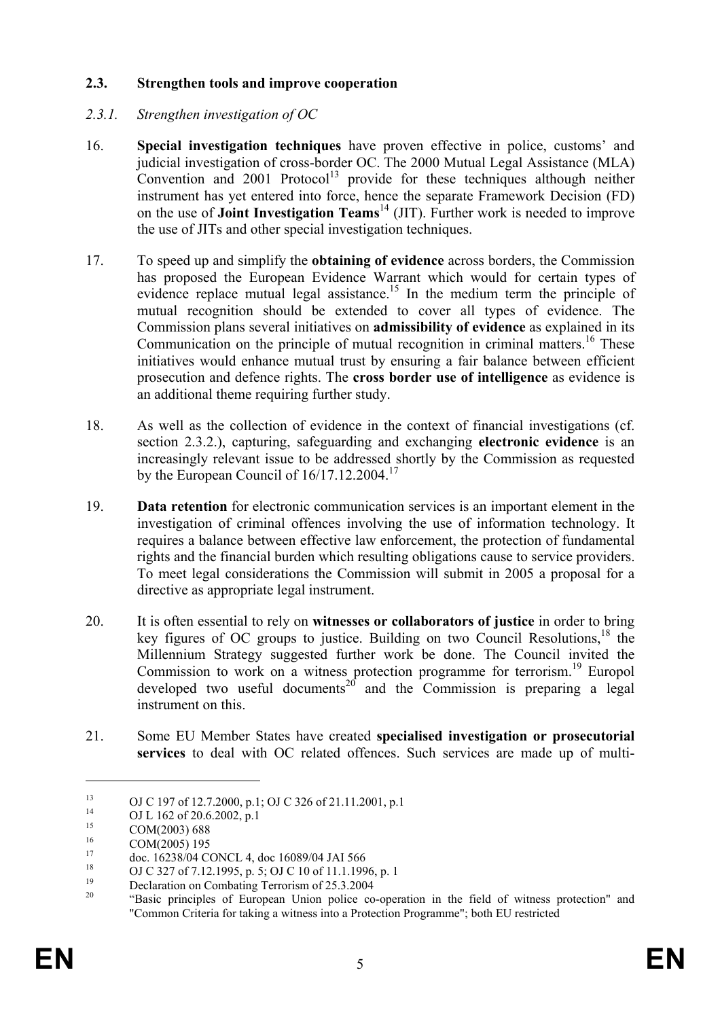# **2.3. Strengthen tools and improve cooperation**

# *2.3.1. Strengthen investigation of OC*

- 16. **Special investigation techniques** have proven effective in police, customs' and judicial investigation of cross-border OC. The 2000 Mutual Legal Assistance (MLA) Convention and  $2001$  Protocol<sup>13</sup> provide for these techniques although neither instrument has yet entered into force, hence the separate Framework Decision (FD) on the use of **Joint Investigation Teams**14 (JIT). Further work is needed to improve the use of JITs and other special investigation techniques.
- 17. To speed up and simplify the **obtaining of evidence** across borders, the Commission has proposed the European Evidence Warrant which would for certain types of evidence replace mutual legal assistance.<sup>15</sup> In the medium term the principle of mutual recognition should be extended to cover all types of evidence. The Commission plans several initiatives on **admissibility of evidence** as explained in its Communication on the principle of mutual recognition in criminal matters.<sup>16</sup> These initiatives would enhance mutual trust by ensuring a fair balance between efficient prosecution and defence rights. The **cross border use of intelligence** as evidence is an additional theme requiring further study.
- 18. As well as the collection of evidence in the context of financial investigations (cf. section 2.3.2.), capturing, safeguarding and exchanging **electronic evidence** is an increasingly relevant issue to be addressed shortly by the Commission as requested by the European Council of  $16/17.12.2004$ <sup>17</sup>
- 19. **Data retention** for electronic communication services is an important element in the investigation of criminal offences involving the use of information technology. It requires a balance between effective law enforcement, the protection of fundamental rights and the financial burden which resulting obligations cause to service providers. To meet legal considerations the Commission will submit in 2005 a proposal for a directive as appropriate legal instrument.
- 20. It is often essential to rely on **witnesses or collaborators of justice** in order to bring key figures of OC groups to justice. Building on two Council Resolutions,<sup>18</sup> the Millennium Strategy suggested further work be done. The Council invited the Commission to work on a witness protection programme for terrorism.<sup>19</sup> Europol developed two useful documents<sup>20</sup> and the Commission is preparing a legal instrument on this.
- 21. Some EU Member States have created **specialised investigation or prosecutorial services** to deal with OC related offences. Such services are made up of multi-

<sup>&</sup>lt;sup>13</sup> OJ C 197 of 12.7.2000, p.1; OJ C 326 of 21.11.2001, p.1<br><sup>14</sup> CJJ 162,5206,2002, p.1

<sup>&</sup>lt;sup>14</sup> OJ L 162 of 20.6.2002, p.1

<sup>&</sup>lt;sup>15</sup> COM(2003) 688

 $^{16}$  COM(2005) 195

 $17$  doc. 16238/04 CONCL 4, doc 16089/04 JAI 566

<sup>&</sup>lt;sup>18</sup> OJ C 327 of 7.12.1995, p. 5; OJ C 10 of 11.1.1996, p. 1

<sup>&</sup>lt;sup>19</sup> Declaration on Combating Terrorism of 25.3.2004<br><sup>20</sup> "Perio, principles of European Union police ac-

<sup>20 &</sup>quot;Basic principles of European Union police co-operation in the field of witness protection" and "Common Criteria for taking a witness into a Protection Programme"; both EU restricted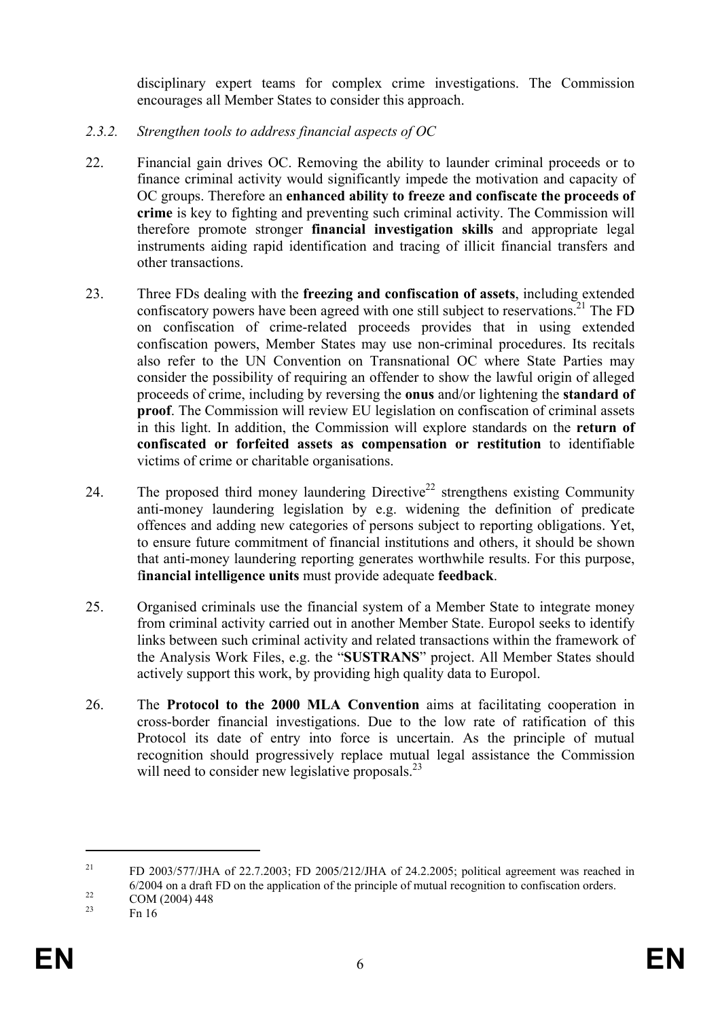disciplinary expert teams for complex crime investigations. The Commission encourages all Member States to consider this approach.

- *2.3.2. Strengthen tools to address financial aspects of OC*
- 22. Financial gain drives OC. Removing the ability to launder criminal proceeds or to finance criminal activity would significantly impede the motivation and capacity of OC groups. Therefore an **enhanced ability to freeze and confiscate the proceeds of crime** is key to fighting and preventing such criminal activity. The Commission will therefore promote stronger **financial investigation skills** and appropriate legal instruments aiding rapid identification and tracing of illicit financial transfers and other transactions.
- 23. Three FDs dealing with the **freezing and confiscation of assets**, including extended confiscatory powers have been agreed with one still subject to reservations.<sup>21</sup> The FD on confiscation of crime-related proceeds provides that in using extended confiscation powers, Member States may use non-criminal procedures. Its recitals also refer to the UN Convention on Transnational OC where State Parties may consider the possibility of requiring an offender to show the lawful origin of alleged proceeds of crime, including by reversing the **onus** and/or lightening the **standard of proof**. The Commission will review EU legislation on confiscation of criminal assets in this light. In addition, the Commission will explore standards on the **return of confiscated or forfeited assets as compensation or restitution** to identifiable victims of crime or charitable organisations.
- 24. The proposed third money laundering Directive<sup>22</sup> strengthens existing Community anti-money laundering legislation by e.g. widening the definition of predicate offences and adding new categories of persons subject to reporting obligations. Yet, to ensure future commitment of financial institutions and others, it should be shown that anti-money laundering reporting generates worthwhile results. For this purpose, f**inancial intelligence units** must provide adequate **feedback**.
- 25. Organised criminals use the financial system of a Member State to integrate money from criminal activity carried out in another Member State. Europol seeks to identify links between such criminal activity and related transactions within the framework of the Analysis Work Files, e.g. the "**SUSTRANS**" project. All Member States should actively support this work, by providing high quality data to Europol.
- 26. The **Protocol to the 2000 MLA Convention** aims at facilitating cooperation in cross-border financial investigations. Due to the low rate of ratification of this Protocol its date of entry into force is uncertain. As the principle of mutual recognition should progressively replace mutual legal assistance the Commission will need to consider new legislative proposals.<sup>23</sup>

<sup>&</sup>lt;sup>21</sup> FD 2003/577/JHA of 22.7.2003; FD 2005/212/JHA of 24.2.2005; political agreement was reached in 6/2004 on a draft FD on the application of the principle of mutual recognition to confiscation orders.<br>  $\frac{22}{23}$  COM (2004) 448

Fn 16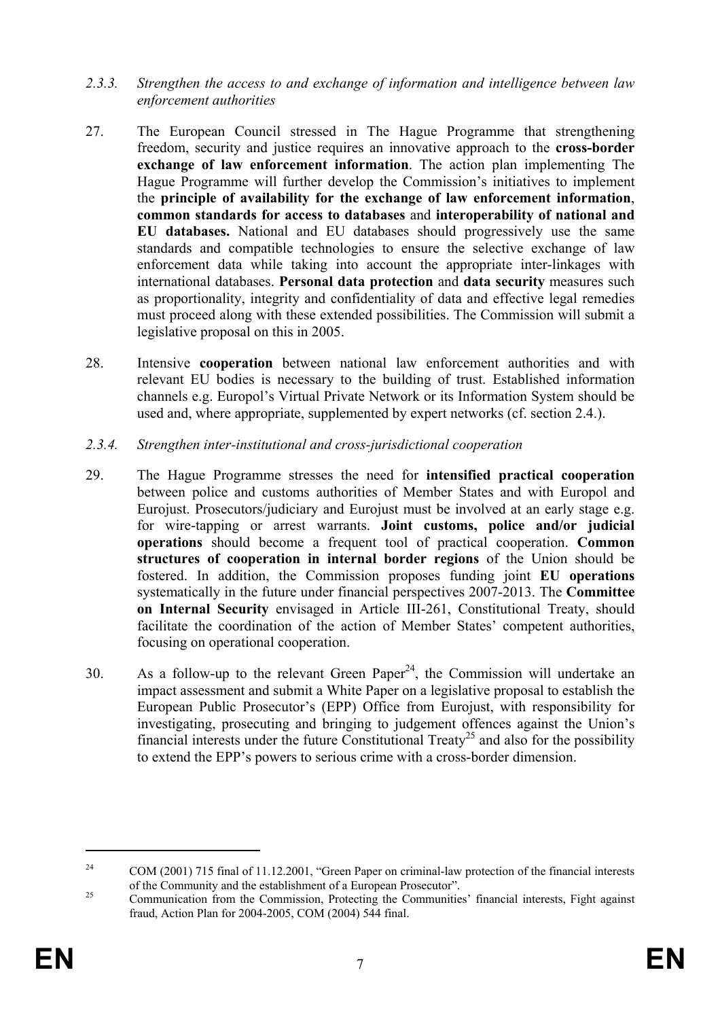- *2.3.3. Strengthen the access to and exchange of information and intelligence between law enforcement authorities*
- 27. The European Council stressed in The Hague Programme that strengthening freedom, security and justice requires an innovative approach to the **cross-border exchange of law enforcement information**. The action plan implementing The Hague Programme will further develop the Commission's initiatives to implement the **principle of availability for the exchange of law enforcement information**, **common standards for access to databases** and **interoperability of national and EU databases.** National and EU databases should progressively use the same standards and compatible technologies to ensure the selective exchange of law enforcement data while taking into account the appropriate inter-linkages with international databases. **Personal data protection** and **data security** measures such as proportionality, integrity and confidentiality of data and effective legal remedies must proceed along with these extended possibilities. The Commission will submit a legislative proposal on this in 2005.
- 28. Intensive **cooperation** between national law enforcement authorities and with relevant EU bodies is necessary to the building of trust. Established information channels e.g. Europol's Virtual Private Network or its Information System should be used and, where appropriate, supplemented by expert networks (cf. section 2.4.).
- *2.3.4. Strengthen inter-institutional and cross-jurisdictional cooperation*
- 29. The Hague Programme stresses the need for **intensified practical cooperation** between police and customs authorities of Member States and with Europol and Eurojust. Prosecutors/judiciary and Eurojust must be involved at an early stage e.g. for wire-tapping or arrest warrants. **Joint customs, police and/or judicial operations** should become a frequent tool of practical cooperation. **Common structures of cooperation in internal border regions** of the Union should be fostered. In addition, the Commission proposes funding joint **EU operations** systematically in the future under financial perspectives 2007-2013. The **Committee on Internal Security** envisaged in Article III-261, Constitutional Treaty, should facilitate the coordination of the action of Member States' competent authorities, focusing on operational cooperation.
- 30. As a follow-up to the relevant Green Paper<sup>24</sup>, the Commission will undertake an impact assessment and submit a White Paper on a legislative proposal to establish the European Public Prosecutor's (EPP) Office from Eurojust, with responsibility for investigating, prosecuting and bringing to judgement offences against the Union's financial interests under the future Constitutional Treaty<sup>25</sup> and also for the possibility to extend the EPP's powers to serious crime with a cross-border dimension.

<sup>&</sup>lt;sup>24</sup> COM (2001) 715 final of 11.12.2001, "Green Paper on criminal-law protection of the financial interests of the Community and the establishment of a European Prosecutor".<br>
Communication from the Commission, Protecting the Communities' financial interests, Fight against

fraud, Action Plan for 2004-2005, COM (2004) 544 final.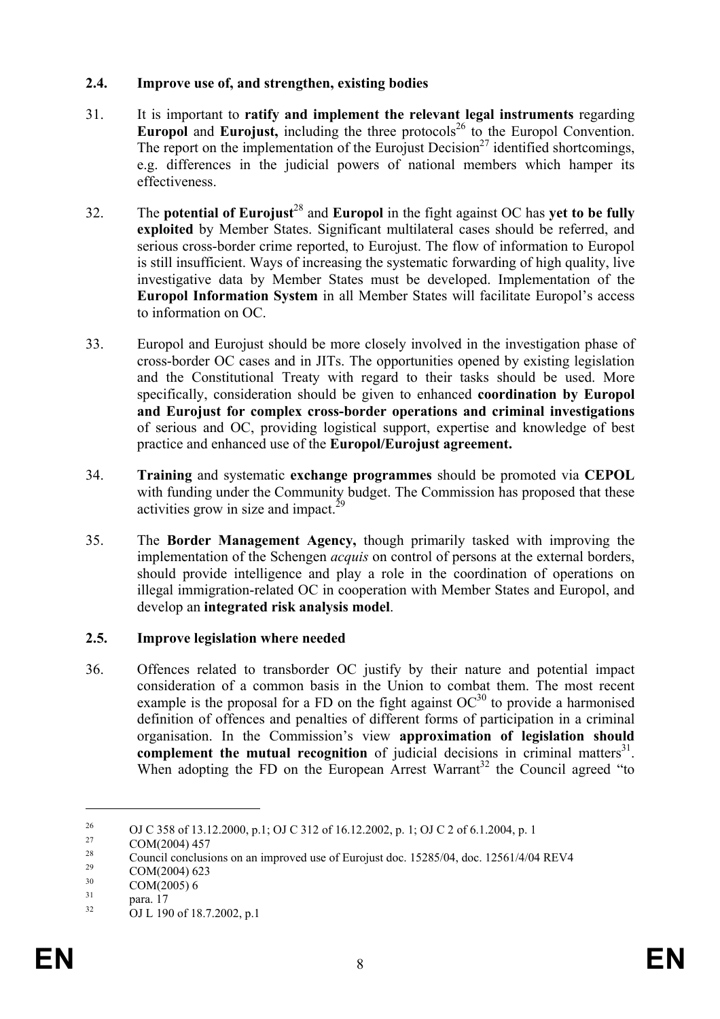## **2.4. Improve use of, and strengthen, existing bodies**

- 31. It is important to **ratify and implement the relevant legal instruments** regarding **Europol** and **Eurojust**, including the three protocols<sup>26</sup> to the Europol Convention. The report on the implementation of the Eurojust Decision<sup>27</sup> identified shortcomings, e.g. differences in the judicial powers of national members which hamper its effectiveness.
- 32. The **potential of Eurojust**<sup>28</sup> and **Europol** in the fight against OC has **yet to be fully exploited** by Member States. Significant multilateral cases should be referred, and serious cross-border crime reported, to Eurojust. The flow of information to Europol is still insufficient. Ways of increasing the systematic forwarding of high quality, live investigative data by Member States must be developed. Implementation of the **Europol Information System** in all Member States will facilitate Europol's access to information on OC.
- 33. Europol and Eurojust should be more closely involved in the investigation phase of cross-border OC cases and in JITs. The opportunities opened by existing legislation and the Constitutional Treaty with regard to their tasks should be used. More specifically, consideration should be given to enhanced **coordination by Europol and Eurojust for complex cross-border operations and criminal investigations** of serious and OC, providing logistical support, expertise and knowledge of best practice and enhanced use of the **Europol/Eurojust agreement.**
- 34. **Training** and systematic **exchange programmes** should be promoted via **CEPOL**  with funding under the Community budget. The Commission has proposed that these activities grow in size and impact.<sup>29</sup>
- 35. The **Border Management Agency,** though primarily tasked with improving the implementation of the Schengen *acquis* on control of persons at the external borders, should provide intelligence and play a role in the coordination of operations on illegal immigration-related OC in cooperation with Member States and Europol, and develop an **integrated risk analysis model**.

# **2.5. Improve legislation where needed**

36. Offences related to transborder OC justify by their nature and potential impact consideration of a common basis in the Union to combat them. The most recent example is the proposal for a FD on the fight against  $OC^{30}$  to provide a harmonised definition of offences and penalties of different forms of participation in a criminal organisation. In the Commission's view **approximation of legislation should complement the mutual recognition** of judicial decisions in criminal matters<sup>31</sup>. When adopting the FD on the European Arrest Warrant<sup>32</sup> the Council agreed "to"

<sup>&</sup>lt;sup>26</sup> OJ C 358 of 13.12.2000, p.1; OJ C 312 of 16.12.2002, p. 1; OJ C 2 of 6.1.2004, p. 1

 $\frac{27}{28}$  COM(2004) 457

<sup>&</sup>lt;sup>28</sup> Council conclusions on an improved use of Eurojust doc. 15285/04, doc. 12561/4/04 REV4

<sup>&</sup>lt;sup>29</sup> COM(2004) 623

 $\frac{30}{31}$  COM(2005) 6<br>para. 17<br> $\frac{32}{31}$  cH 190 of 18

<sup>32</sup> OJ L 190 of 18.7.2002, p.1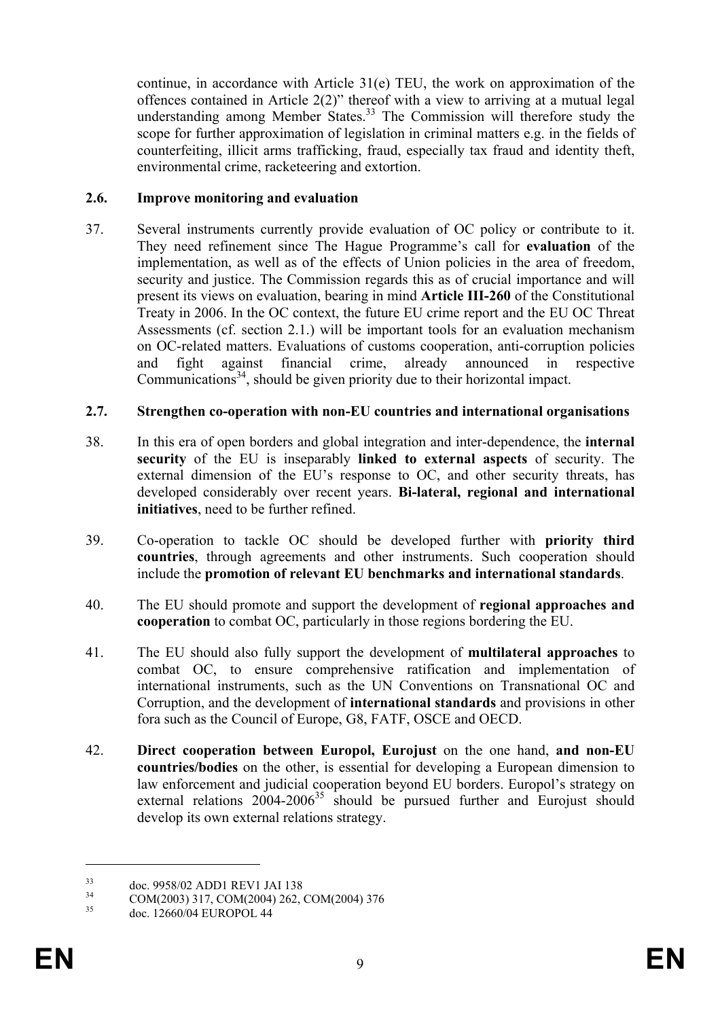continue, in accordance with Article 31(e) TEU, the work on approximation of the offences contained in Article 2(2)" thereof with a view to arriving at a mutual legal understanding among Member States.<sup>33</sup> The Commission will therefore study the scope for further approximation of legislation in criminal matters e.g. in the fields of counterfeiting, illicit arms trafficking, fraud, especially tax fraud and identity theft, environmental crime, racketeering and extortion.

## **2.6. Improve monitoring and evaluation**

37. Several instruments currently provide evaluation of OC policy or contribute to it. They need refinement since The Hague Programme's call for **evaluation** of the implementation, as well as of the effects of Union policies in the area of freedom, security and justice. The Commission regards this as of crucial importance and will present its views on evaluation, bearing in mind **Article III-260** of the Constitutional Treaty in 2006. In the OC context, the future EU crime report and the EU OC Threat Assessments (cf. section 2.1.) will be important tools for an evaluation mechanism on OC-related matters. Evaluations of customs cooperation, anti-corruption policies and fight against financial crime, already announced in respective Communications $34$ , should be given priority due to their horizontal impact.

## **2.7. Strengthen co-operation with non-EU countries and international organisations**

- 38. In this era of open borders and global integration and inter-dependence, the **internal security** of the EU is inseparably **linked to external aspects** of security. The external dimension of the EU's response to OC, and other security threats, has developed considerably over recent years. **Bi-lateral, regional and international initiatives**, need to be further refined.
- 39. Co-operation to tackle OC should be developed further with **priority third countries**, through agreements and other instruments. Such cooperation should include the **promotion of relevant EU benchmarks and international standards**.
- 40. The EU should promote and support the development of **regional approaches and cooperation** to combat OC, particularly in those regions bordering the EU.
- 41. The EU should also fully support the development of **multilateral approaches** to combat OC, to ensure comprehensive ratification and implementation of international instruments, such as the UN Conventions on Transnational OC and Corruption, and the development of **international standards** and provisions in other fora such as the Council of Europe, G8, FATF, OSCE and OECD.
- 42. **Direct cooperation between Europol, Eurojust** on the one hand, **and non-EU countries/bodies** on the other, is essential for developing a European dimension to law enforcement and judicial cooperation beyond EU borders. Europol's strategy on external relations  $2004-2006^{35}$  should be pursued further and Eurojust should develop its own external relations strategy.

 $\frac{33}{34}$  doc. 9958/02 ADD1 REV1 JAI 138

 $\frac{34}{35}$  COM(2003) 317, COM(2004) 262, COM(2004) 376

doc. 12660/04 EUROPOL 44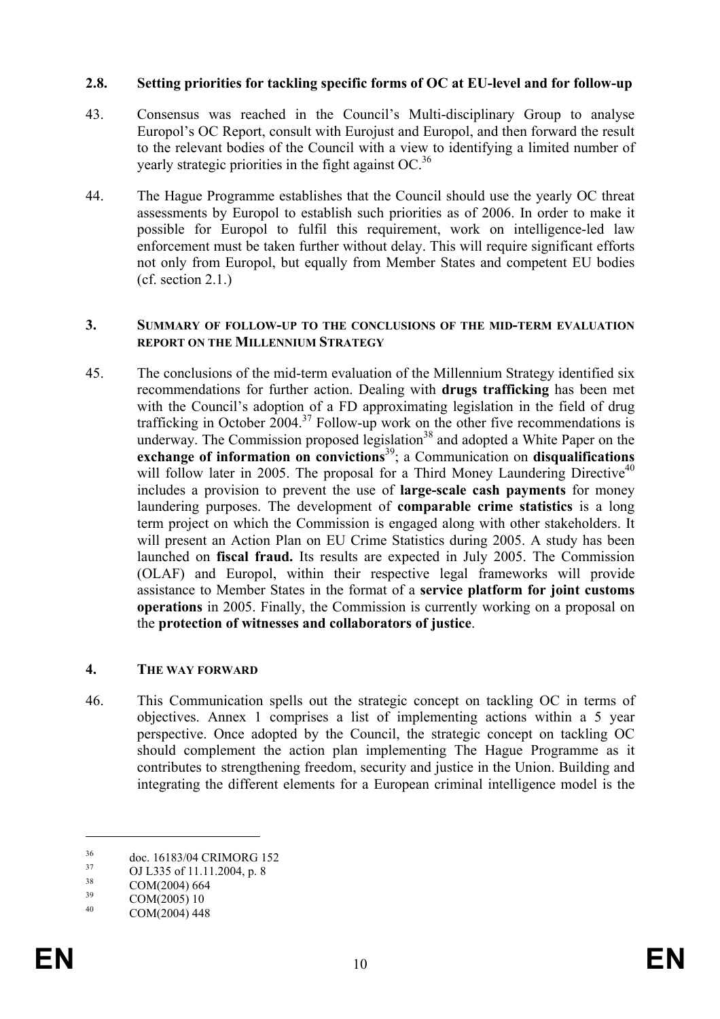#### **2.8. Setting priorities for tackling specific forms of OC at EU-level and for follow-up**

- 43. Consensus was reached in the Council's Multi-disciplinary Group to analyse Europol's OC Report, consult with Eurojust and Europol, and then forward the result to the relevant bodies of the Council with a view to identifying a limited number of yearly strategic priorities in the fight against OC.<sup>36</sup>
- 44. The Hague Programme establishes that the Council should use the yearly OC threat assessments by Europol to establish such priorities as of 2006. In order to make it possible for Europol to fulfil this requirement, work on intelligence-led law enforcement must be taken further without delay. This will require significant efforts not only from Europol, but equally from Member States and competent EU bodies (cf. section 2.1.)

#### **3. SUMMARY OF FOLLOW-UP TO THE CONCLUSIONS OF THE MID-TERM EVALUATION REPORT ON THE MILLENNIUM STRATEGY**

45. The conclusions of the mid-term evaluation of the Millennium Strategy identified six recommendations for further action. Dealing with **drugs trafficking** has been met with the Council's adoption of a FD approximating legislation in the field of drug trafficking in October 2004.<sup>37</sup> Follow-up work on the other five recommendations is underway. The Commission proposed legislation<sup>38</sup> and adopted a White Paper on the exchange of information on convictions<sup>39</sup>; a Communication on disqualifications will follow later in 2005. The proposal for a Third Money Laundering Directive<sup>40</sup> includes a provision to prevent the use of **large-scale cash payments** for money laundering purposes. The development of **comparable crime statistics** is a long term project on which the Commission is engaged along with other stakeholders. It will present an Action Plan on EU Crime Statistics during 2005. A study has been launched on **fiscal fraud.** Its results are expected in July 2005. The Commission (OLAF) and Europol, within their respective legal frameworks will provide assistance to Member States in the format of a **service platform for joint customs operations** in 2005. Finally, the Commission is currently working on a proposal on the **protection of witnesses and collaborators of justice**.

#### **4. THE WAY FORWARD**

46. This Communication spells out the strategic concept on tackling OC in terms of objectives. Annex 1 comprises a list of implementing actions within a 5 year perspective. Once adopted by the Council, the strategic concept on tackling OC should complement the action plan implementing The Hague Programme as it contributes to strengthening freedom, security and justice in the Union. Building and integrating the different elements for a European criminal intelligence model is the

<sup>&</sup>lt;sup>36</sup> doc. 16183/04 CRIMORG 152

 $^{37}$  OJ L335 of 11.11.2004, p. 8

 $\frac{38}{39}$  COM(2004) 664

 $\frac{39}{40}$  COM(2005) 10

COM(2004) 448